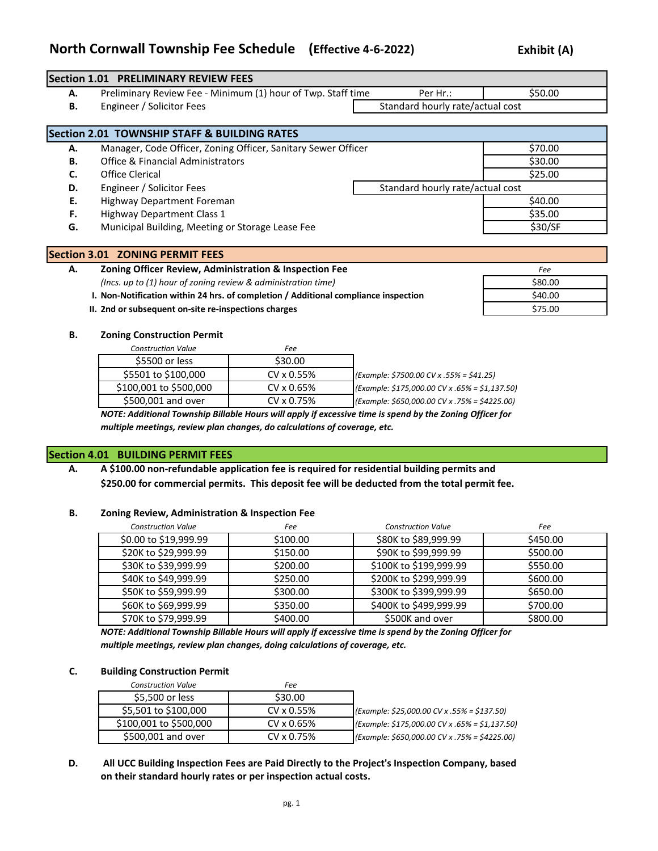# **North Cornwall Township Fee Schedule (Effective 4-6-2022) Exhibit (A)**

|    | <b>Section 1.01 PRELIMINARY REVIEW FEES</b>                   |                                  |         |
|----|---------------------------------------------------------------|----------------------------------|---------|
| А. | Preliminary Review Fee - Minimum (1) hour of Twp. Staff time  | Per Hr.:                         | \$50.00 |
| В. | Engineer / Solicitor Fees                                     | Standard hourly rate/actual cost |         |
|    |                                                               |                                  |         |
|    | <b>Section 2.01 TOWNSHIP STAFF &amp; BUILDING RATES</b>       |                                  |         |
| А. | Manager, Code Officer, Zoning Officer, Sanitary Sewer Officer |                                  | \$70.00 |
| В. | Office & Financial Administrators                             |                                  | \$30.00 |
| C. | Office Clerical                                               |                                  | \$25.00 |
| D. | Engineer / Solicitor Fees                                     | Standard hourly rate/actual cost |         |
| Е. | Highway Department Foreman                                    |                                  | \$40.00 |
| F. | Highway Department Class 1                                    |                                  | \$35.00 |
| G. | Municipal Building, Meeting or Storage Lease Fee              |                                  | \$30/SF |
|    |                                                               |                                  |         |

|    | Section 3.01 ZONING PERMIT FEES                                                     |         |
|----|-------------------------------------------------------------------------------------|---------|
| А. | Zoning Officer Review, Administration & Inspection Fee                              | Fee     |
|    | (Incs. up to (1) hour of zoning review & administration time)                       | \$80.00 |
|    | I. Non-Notification within 24 hrs. of completion / Additional compliance inspection | \$40.00 |
|    | II. 2nd or subsequent on-site re-inspections charges                                | \$75.00 |

#### **B. Zoning Construction Permit**

| <b>Construction Value</b> | Fee        |                                                   |
|---------------------------|------------|---------------------------------------------------|
| \$5500 or less            | \$30.00    |                                                   |
| \$5501 to \$100,000       | CV x 0.55% | $\left($ Example: \$7500.00 CV x .55% = \$41.25)  |
| \$100,001 to \$500,000    | CV x 0.65% | (Example: \$175,000.00 CV x .65% = \$1,137.50)    |
| \$500,001 and over        | CV x 0.75% | $ $ (Example: \$650,000.00 CV x .75% = \$4225.00) |
|                           |            |                                                   |

*NOTE: Additional Township Billable Hours will apply if excessive time is spend by the Zoning Officer for multiple meetings, review plan changes, do calculations of coverage, etc.*

#### **Section 4.01 BUILDING PERMIT FEES**

**A. A \$100.00 non-refundable application fee is required for residential building permits and \$250.00 for commercial permits. This deposit fee will be deducted from the total permit fee.**

#### **B. Zoning Review, Administration & Inspection Fee**

| <b>Construction Value</b> | Fee      | <b>Construction Value</b> | Fee      |
|---------------------------|----------|---------------------------|----------|
| \$0.00 to \$19,999.99     | \$100.00 | \$80K to \$89,999.99      | \$450.00 |
| \$20K to \$29,999.99      | \$150.00 | \$90K to \$99,999.99      | \$500.00 |
| \$30K to \$39,999.99      | \$200.00 | \$100K to \$199,999.99    | \$550.00 |
| \$40K to \$49,999.99      | \$250.00 | \$200K to \$299,999.99    | \$600.00 |
| \$50K to \$59,999.99      | \$300.00 | \$300K to \$399,999.99    | \$650.00 |
| \$60K to \$69,999.99      | \$350.00 | \$400K to \$499,999.99    | \$700.00 |
| \$70K to \$79,999.99      | \$400.00 | \$500K and over           | \$800.00 |

*NOTE: Additional Township Billable Hours will apply if excessive time is spend by the Zoning Officer for multiple meetings, review plan changes, doing calculations of coverage, etc.*

#### **C. Building Construction Permit**

| <b>Construction Value</b> | Fee        |                                                       |
|---------------------------|------------|-------------------------------------------------------|
| \$5,500 or less           | \$30.00    |                                                       |
| \$5,501 to \$100,000      | CV x 0.55% | $\left($ Example: \$25,000.00 CV x .55% = \$137.50)   |
| \$100,001 to \$500,000    | CV x 0.65% | $[Example: $175,000.00 CV \times .65\% = $1,137.50]$  |
| \$500,001 and over        | CV x 0.75% | $\left($ Example: \$650,000.00 CV x .75% = \$4225.00) |

## **D. All UCC Building Inspection Fees are Paid Directly to the Project's Inspection Company, based on their standard hourly rates or per inspection actual costs.**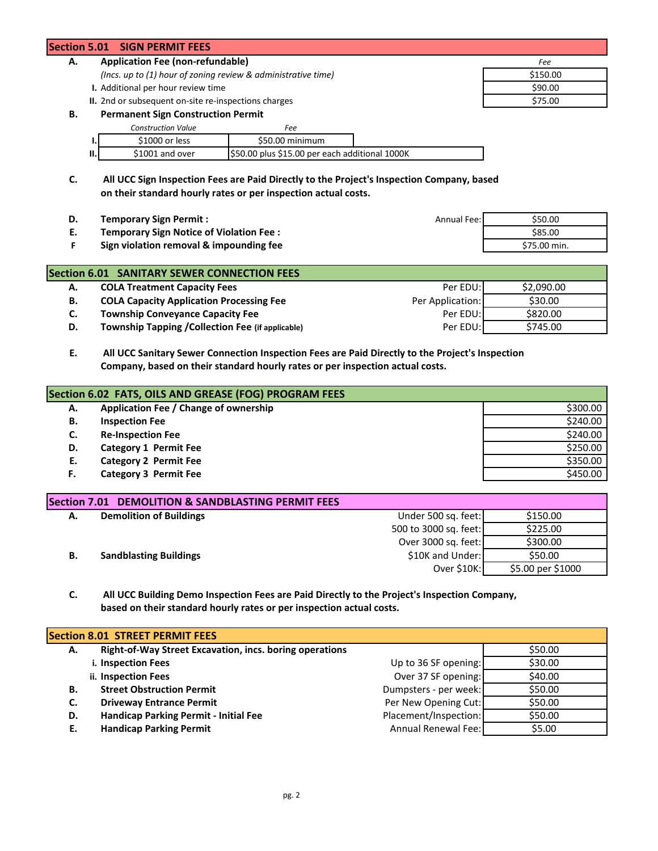## **Section 5.01 SIGN PERMIT FEES**

# **A. Application Fee (non-refundable)** *Fee*

- *(Incs. up to (1) hour of zoning review & administrative time)* \$150.00
- **I.** Additional per hour review time  $\lesssim$  **1.** Additional per hour review time  $\lesssim$  **590.00**
- **II.** 2nd or subsequent on-site re-inspections charges  $\frac{1}{2}$  \$75.00

#### **B. Permanent Sign Construction Permit**

|    | <b>Construction Value</b> | Fee                                            |  |
|----|---------------------------|------------------------------------------------|--|
|    | \$1000 or less            | \$50.00 minimum                                |  |
| Ш. | \$1001 and over           | \$50.00 plus \$15.00 per each additional 1000K |  |

**C. All UCC Sign Inspection Fees are Paid Directly to the Project's Inspection Company, based on their standard hourly rates or per inspection actual costs.** 

| <b>Temporary Sign Permit:</b>           | Annual Fee: | \$50.00      |
|-----------------------------------------|-------------|--------------|
| Temporary Sign Notice of Violation Fee: |             | \$85.00      |
| Sign violation removal & impounding fee |             | \$75.00 min. |

|    | <b>Section 6.01 SANITARY SEWER CONNECTION FEES</b> |                  |            |
|----|----------------------------------------------------|------------------|------------|
| А. | <b>COLA Treatment Capacity Fees</b>                | Per EDU:         | \$2,090.00 |
| В. | <b>COLA Capacity Application Processing Fee</b>    | Per Application: | \$30.00    |
| C. | <b>Township Conveyance Capacity Fee</b>            | Per EDU:         | \$820.00   |
| D. | Township Tapping / Collection Fee (if applicable)  | Per EDU:         | \$745.00   |

### **E. All UCC Sanitary Sewer Connection Inspection Fees are Paid Directly to the Project's Inspection Company, based on their standard hourly rates or per inspection actual costs.**

| Section 6.02 FATS, OILS AND GREASE (FOG) PROGRAM FEES |                                       |          |  |  |
|-------------------------------------------------------|---------------------------------------|----------|--|--|
| А.                                                    | Application Fee / Change of ownership | \$300.00 |  |  |
| В.                                                    | <b>Inspection Fee</b>                 | \$240.00 |  |  |
| C.                                                    | <b>Re-Inspection Fee</b>              | \$240.00 |  |  |
| D.                                                    | <b>Category 1 Permit Fee</b>          | \$250.00 |  |  |
| Е.                                                    | <b>Category 2 Permit Fee</b>          | \$350.00 |  |  |
| F.                                                    | <b>Category 3 Permit Fee</b>          | \$450.00 |  |  |

|    | Section 7.01 DEMOLITION & SANDBLASTING PERMIT FEES |                       |                   |
|----|----------------------------------------------------|-----------------------|-------------------|
| А. | <b>Demolition of Buildings</b>                     | Under 500 sq. feet:   | \$150.00          |
|    |                                                    | 500 to 3000 sq. feet: | \$225.00          |
|    |                                                    | Over 3000 sq. feet:   | \$300.00          |
| В. | <b>Sandblasting Buildings</b>                      | \$10K and Under:      | \$50.00           |
|    |                                                    | Over \$10K:           | \$5.00 per \$1000 |

### **C. All UCC Building Demo Inspection Fees are Paid Directly to the Project's Inspection Company, based on their standard hourly rates or per inspection actual costs.**

| <b>Section 8.01 STREET PERMIT FEES</b><br>Right-of-Way Street Excavation, incs. boring operations<br>\$50.00<br>А.<br>\$30.00<br>i. Inspection Fees<br>Up to 36 SF opening:<br>Over 37 SF opening:<br>\$40.00<br>ii. Inspection Fees<br><b>Street Obstruction Permit</b><br>Dumpsters - per week:<br>\$50.00<br>В. |    |                                 |                      |         |
|--------------------------------------------------------------------------------------------------------------------------------------------------------------------------------------------------------------------------------------------------------------------------------------------------------------------|----|---------------------------------|----------------------|---------|
|                                                                                                                                                                                                                                                                                                                    |    |                                 |                      |         |
|                                                                                                                                                                                                                                                                                                                    |    |                                 |                      |         |
|                                                                                                                                                                                                                                                                                                                    |    |                                 |                      |         |
|                                                                                                                                                                                                                                                                                                                    |    |                                 |                      |         |
|                                                                                                                                                                                                                                                                                                                    |    |                                 |                      |         |
|                                                                                                                                                                                                                                                                                                                    | C. | <b>Driveway Entrance Permit</b> | Per New Opening Cut: | \$50.00 |
| Placement/Inspection:<br>Handicap Parking Permit - Initial Fee<br>\$50.00<br>D.                                                                                                                                                                                                                                    |    |                                 |                      |         |
| <b>Handicap Parking Permit</b><br>Annual Renewal Fee:<br>\$5.00<br>Ε.                                                                                                                                                                                                                                              |    |                                 |                      |         |

pg. 2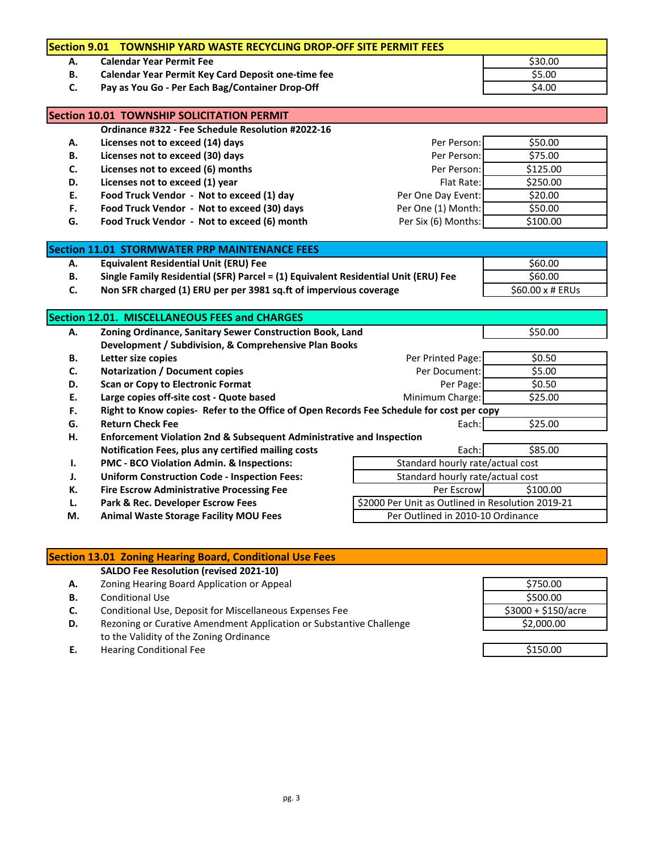|           | Section 9.01 TOWNSHIP YARD WASTE RECYCLING DROP-OFF SITE PERMIT FEES                     |                                                   |                  |
|-----------|------------------------------------------------------------------------------------------|---------------------------------------------------|------------------|
| А.        | <b>Calendar Year Permit Fee</b>                                                          |                                                   | \$30.00          |
| В.        | Calendar Year Permit Key Card Deposit one-time fee                                       |                                                   | \$5.00           |
| C.        | Pay as You Go - Per Each Bag/Container Drop-Off                                          |                                                   | \$4.00           |
|           | Section 10.01 TOWNSHIP SOLICITATION PERMIT                                               |                                                   |                  |
|           | Ordinance #322 - Fee Schedule Resolution #2022-16                                        |                                                   |                  |
| А.        | Licenses not to exceed (14) days                                                         | Per Person:                                       | \$50.00          |
| В.        | Licenses not to exceed (30) days                                                         | Per Person:                                       | \$75.00          |
| C.        | Licenses not to exceed (6) months                                                        | Per Person:                                       | \$125.00         |
| D.        | Licenses not to exceed (1) year                                                          | Flat Rate:                                        | \$250.00         |
| Ε.        | Food Truck Vendor - Not to exceed (1) day                                                | Per One Day Event:                                | \$20.00          |
| F.        | Food Truck Vendor - Not to exceed (30) days                                              | Per One (1) Month:                                | \$50.00          |
| G.        | Food Truck Vendor - Not to exceed (6) month                                              | Per Six (6) Months:                               | \$100.00         |
|           | <b>Section 11.01 STORMWATER PRP MAINTENANCE FEES</b>                                     |                                                   |                  |
| А.        | <b>Equivalent Residential Unit (ERU) Fee</b>                                             |                                                   | \$60.00          |
| <b>B.</b> | Single Family Residential (SFR) Parcel = (1) Equivalent Residential Unit (ERU) Fee       |                                                   | \$60.00          |
| C.        | Non SFR charged (1) ERU per per 3981 sq.ft of impervious coverage                        |                                                   | \$60.00 x # ERUs |
|           |                                                                                          |                                                   |                  |
|           | Section 12.01. MISCELLANEOUS FEES and CHARGES                                            |                                                   |                  |
| А.        | Zoning Ordinance, Sanitary Sewer Construction Book, Land                                 |                                                   | \$50.00          |
|           | Development / Subdivision, & Comprehensive Plan Books                                    |                                                   |                  |
| В.        | Letter size copies                                                                       | Per Printed Page:                                 | \$0.50           |
| C.        | <b>Notarization / Document copies</b>                                                    | Per Document:                                     | \$5.00           |
| D.        | <b>Scan or Copy to Electronic Format</b>                                                 | Per Page:                                         | \$0.50           |
| Ε.        | Large copies off-site cost - Quote based                                                 | Minimum Charge:                                   | \$25.00          |
| F.        | Right to Know copies- Refer to the Office of Open Records Fee Schedule for cost per copy |                                                   |                  |
| G.        | <b>Return Check Fee</b>                                                                  | Each:                                             | \$25.00          |
| н.        | Enforcement Violation 2nd & Subsequent Administrative and Inspection                     |                                                   |                  |
|           | Notification Fees, plus any certified mailing costs                                      | Each:                                             | \$85.00          |
| Ι.        | PMC - BCO Violation Admin. & Inspections:                                                | Standard hourly rate/actual cost                  |                  |
| J.        | <b>Uniform Construction Code - Inspection Fees:</b>                                      | Standard hourly rate/actual cost                  |                  |
| К.        | <b>Fire Escrow Administrative Processing Fee</b>                                         | Per Escrow                                        | \$100.00         |
| L.        | Park & Rec. Developer Escrow Fees                                                        | \$2000 Per Unit as Outlined in Resolution 2019-21 |                  |
|           |                                                                                          |                                                   |                  |
| М.        | <b>Animal Waste Storage Facility MOU Fees</b>                                            | Per Outlined in 2010-10 Ordinance                 |                  |

## **Section 13.01 Zoning Hearing Board, Conditional Use Fees**

**SALDO Fee Resolution (revised 2021-10)**

- A. Zoning Hearing Board Application or Appeal
- **B.** Conditional Use
- **C.** Conditional Use, Deposit for Miscellaneous Expenses Fee<br>**D.** Rezoning or Curative Amendment Application or Substant
- Rezoning or Curative Amendment Application or Substantive Challenge to the Validity of the Zoning Ordinance
- **E.** Hearing Conditional Fee \$150.00

| \$750.00            |
|---------------------|
| \$500.00            |
| \$3000 + \$150/acre |
| \$2,000.00          |
|                     |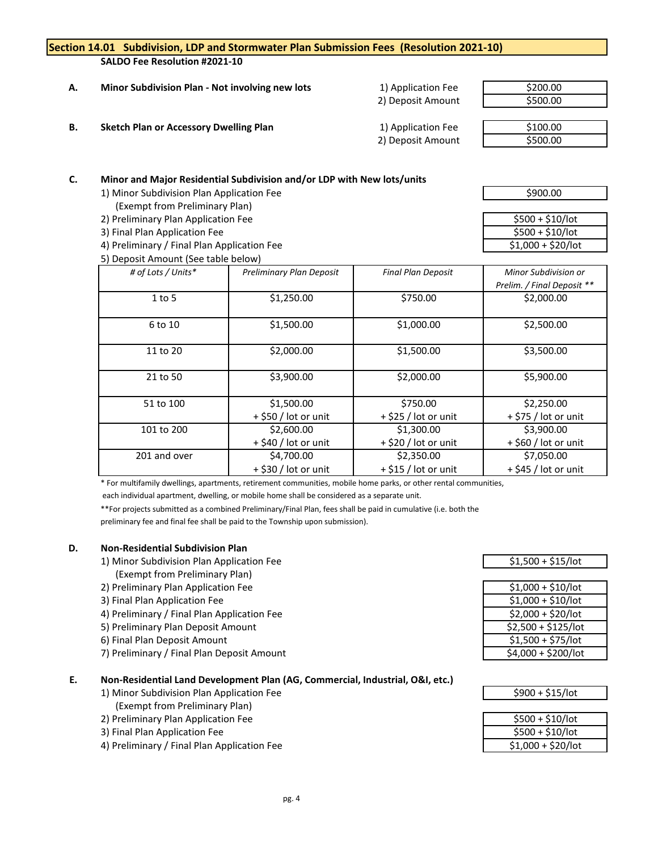|           |                                                                                                                     | Section 14.01 Subdivision, LDP and Stormwater Plan Submission Fees (Resolution 2021-10) |                           |                            |
|-----------|---------------------------------------------------------------------------------------------------------------------|-----------------------------------------------------------------------------------------|---------------------------|----------------------------|
|           | SALDO Fee Resolution #2021-10                                                                                       |                                                                                         |                           |                            |
|           |                                                                                                                     |                                                                                         |                           |                            |
| Α.        | Minor Subdivision Plan - Not involving new lots                                                                     |                                                                                         | 1) Application Fee        | \$200.00                   |
|           |                                                                                                                     |                                                                                         | 2) Deposit Amount         | \$500.00                   |
| <b>B.</b> |                                                                                                                     |                                                                                         |                           | \$100.00                   |
|           | <b>Sketch Plan or Accessory Dwelling Plan</b>                                                                       |                                                                                         | 1) Application Fee        |                            |
|           |                                                                                                                     |                                                                                         | 2) Deposit Amount         | \$500.00                   |
|           |                                                                                                                     |                                                                                         |                           |                            |
| C.        |                                                                                                                     |                                                                                         |                           |                            |
|           | Minor and Major Residential Subdivision and/or LDP with New lots/units<br>1) Minor Subdivision Plan Application Fee |                                                                                         |                           | \$900.00                   |
|           | (Exempt from Preliminary Plan)                                                                                      |                                                                                         |                           |                            |
|           | 2) Preliminary Plan Application Fee                                                                                 |                                                                                         |                           | $$500 + $10/$ lot          |
|           | 3) Final Plan Application Fee                                                                                       |                                                                                         |                           | $$500 + $10/$ lot          |
|           | 4) Preliminary / Final Plan Application Fee                                                                         |                                                                                         |                           | $$1,000 + $20/$ lot        |
|           | 5) Deposit Amount (See table below)                                                                                 |                                                                                         |                           |                            |
|           | # of Lots / Units*<br>Preliminary Plan Deposit                                                                      |                                                                                         | <b>Final Plan Deposit</b> | Minor Subdivision or       |
|           |                                                                                                                     |                                                                                         |                           | Prelim. / Final Deposit ** |
|           | $1$ to $5$                                                                                                          | \$1,250.00                                                                              | \$750.00                  | \$2,000.00                 |
|           |                                                                                                                     |                                                                                         |                           |                            |
|           | 6 to 10                                                                                                             | \$1,500.00                                                                              | \$1,000.00                | \$2,500.00                 |
|           |                                                                                                                     |                                                                                         |                           |                            |
|           | 11 to 20                                                                                                            | \$2,000.00                                                                              | \$1,500.00                | \$3,500.00                 |
|           |                                                                                                                     |                                                                                         |                           |                            |
|           | 21 to 50                                                                                                            | \$3,900.00                                                                              | \$2,000.00                | \$5,900.00                 |
|           |                                                                                                                     |                                                                                         |                           |                            |
|           | 51 to 100                                                                                                           | \$1,500.00                                                                              | \$750.00                  | \$2,250.00                 |
|           |                                                                                                                     | + \$50 / lot or unit                                                                    | + \$25 / lot or unit      | + \$75 / lot or unit       |
|           | 101 to 200                                                                                                          | \$2,600.00                                                                              | \$1,300.00                | \$3,900.00                 |

\* For multifamily dwellings, apartments, retirement communities, mobile home parks, or other rental communities,

201 and over **\$4,700.00** \$4,700.00 \$2,350.00 \$7,050.00

 $+$  \$40 / lot or unit  $+$  \$20 / lot or unit  $+$  \$60 / lot or unit

 $+$  \$30 / lot or unit  $+$  \$15 / lot or unit  $+$  \$45 / lot or unit

each individual apartment, dwelling, or mobile home shall be considered as a separate unit.

\*\*For projects submitted as a combined Preliminary/Final Plan, fees shall be paid in cumulative (i.e. both the

preliminary fee and final fee shall be paid to the Township upon submission).

# **D. Non-Residential Subdivision Plan**

- 1) Minor Subdivision Plan Application Fee  $$1,500 + $15/$ lot (Exempt from Preliminary Plan)
- 2) Preliminary Plan Application Fee
- 3) Final Plan Application Fee
- 4) Preliminary / Final Plan Application Fee
- 5) Preliminary Plan Deposit Amount
- 6) Final Plan Deposit Amount
- 7) Preliminary / Final Plan Deposit Amount

# **E. Non-Residential Land Development Plan (AG, Commercial, Industrial, O&I, etc.)**

- 1) Minor Subdivision Plan Application Fee
- (Exempt from Preliminary Plan)
- 2) Preliminary Plan Application Fee
- 3) Final Plan Application Fee
- 4) Preliminary / Final Plan Application Fee

| \$1,000 + \$10/lot  |
|---------------------|
| $$1,000 + $10/$ lot |
| \$2,000 + \$20/lot  |
| \$2,500 + \$125/lot |
| \$1,500 + \$75/lot  |
| \$4,000 + \$200/lot |
|                     |

| \$900 + \$15/lot |
|------------------|

| \$500 + \$10/lot    |  |
|---------------------|--|
| $$500 + $10/$ lot   |  |
| $$1,000 + $20/$ lot |  |
|                     |  |